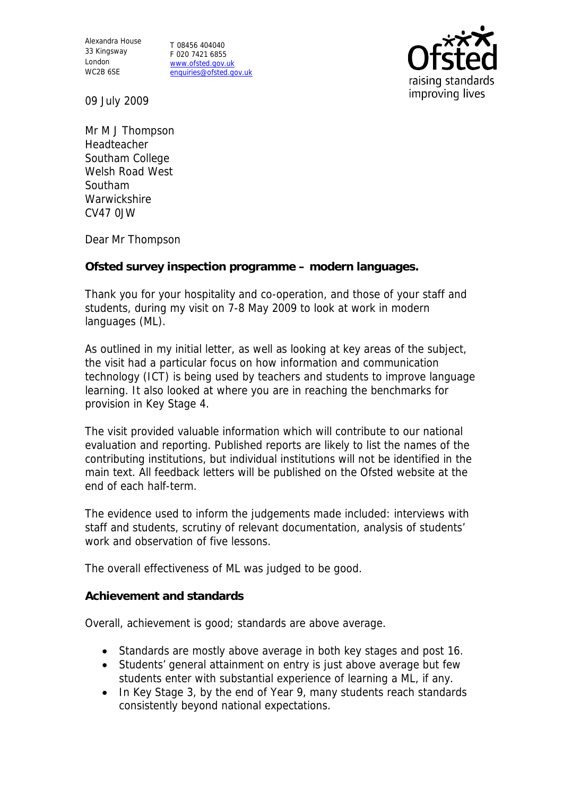Alexandra House 33 Kingsway London WC2B 6SE

T 08456 404040 F 020 7421 6855 www.ofsted.gov.uk enquiries@ofsted.gov.uk



09 July 2009

Mr M J Thompson Headteacher Southam College Welsh Road West Southam **Warwickshire** CV47 0JW

Dear Mr Thompson

**Ofsted survey inspection programme – modern languages.**

Thank you for your hospitality and co-operation, and those of your staff and students, during my visit on 7-8 May 2009 to look at work in modern languages (ML).

As outlined in my initial letter, as well as looking at key areas of the subject, the visit had a particular focus on how information and communication technology (ICT) is being used by teachers and students to improve language learning. It also looked at where you are in reaching the benchmarks for provision in Key Stage 4.

The visit provided valuable information which will contribute to our national evaluation and reporting. Published reports are likely to list the names of the contributing institutions, but individual institutions will not be identified in the main text. All feedback letters will be published on the Ofsted website at the end of each half-term.

The evidence used to inform the judgements made included: interviews with staff and students, scrutiny of relevant documentation, analysis of students' work and observation of five lessons.

The overall effectiveness of ML was judged to be good.

**Achievement and standards**

Overall, achievement is good; standards are above average.

- Standards are mostly above average in both key stages and post 16.
- Students' general attainment on entry is just above average but few students enter with substantial experience of learning a ML, if any.
- In Key Stage 3, by the end of Year 9, many students reach standards consistently beyond national expectations.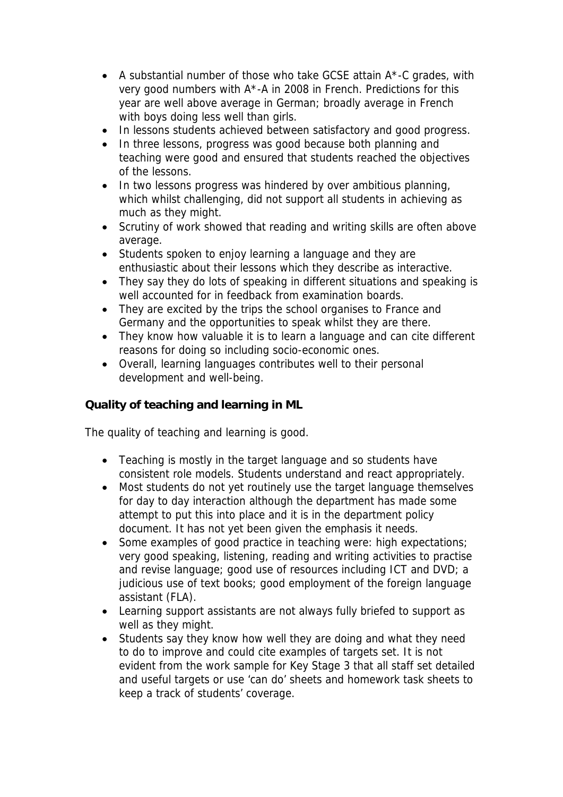- A substantial number of those who take GCSE attain A\*-C grades, with very good numbers with A\*-A in 2008 in French. Predictions for this year are well above average in German; broadly average in French with boys doing less well than girls.
- In lessons students achieved between satisfactory and good progress.
- In three lessons, progress was good because both planning and teaching were good and ensured that students reached the objectives of the lessons.
- In two lessons progress was hindered by over ambitious planning, which whilst challenging, did not support all students in achieving as much as they might.
- Scrutiny of work showed that reading and writing skills are often above average.
- Students spoken to enjoy learning a language and they are enthusiastic about their lessons which they describe as interactive.
- They say they do lots of speaking in different situations and speaking is well accounted for in feedback from examination boards.
- They are excited by the trips the school organises to France and Germany and the opportunities to speak whilst they are there.
- They know how valuable it is to learn a language and can cite different reasons for doing so including socio-economic ones.
- Overall, learning languages contributes well to their personal development and well-being.

**Quality of teaching and learning in ML**

The quality of teaching and learning is good.

- Teaching is mostly in the target language and so students have consistent role models. Students understand and react appropriately.
- Most students do not yet routinely use the target language themselves for day to day interaction although the department has made some attempt to put this into place and it is in the department policy document. It has not yet been given the emphasis it needs.
- Some examples of good practice in teaching were: high expectations; very good speaking, listening, reading and writing activities to practise and revise language; good use of resources including ICT and DVD; a judicious use of text books; good employment of the foreign language assistant (FLA).
- Learning support assistants are not always fully briefed to support as well as they might.
- Students say they know how well they are doing and what they need to do to improve and could cite examples of targets set. It is not evident from the work sample for Key Stage 3 that all staff set detailed and useful targets or use 'can do' sheets and homework task sheets to keep a track of students' coverage.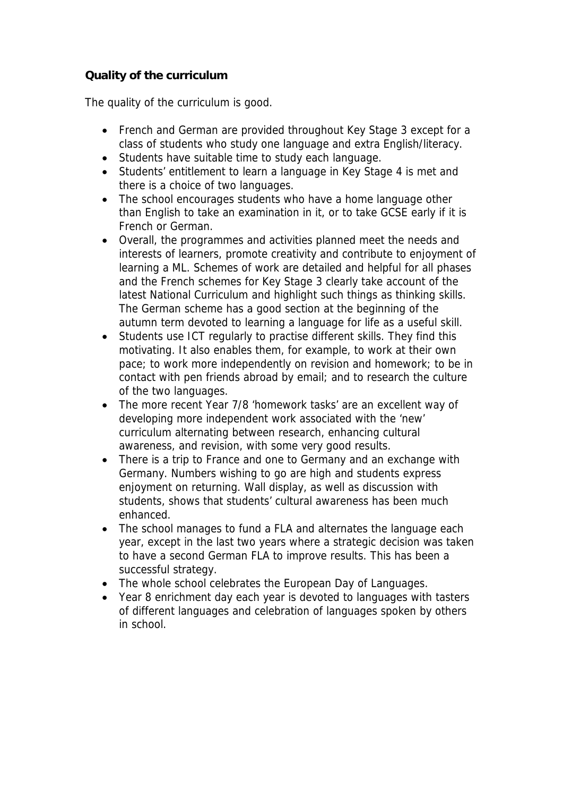## **Quality of the curriculum**

The quality of the curriculum is good.

- French and German are provided throughout Key Stage 3 except for a class of students who study one language and extra English/literacy.
- Students have suitable time to study each language.
- Students' entitlement to learn a language in Key Stage 4 is met and there is a choice of two languages.
- The school encourages students who have a home language other than English to take an examination in it, or to take GCSE early if it is French or German.
- Overall, the programmes and activities planned meet the needs and interests of learners, promote creativity and contribute to enjoyment of learning a ML. Schemes of work are detailed and helpful for all phases and the French schemes for Key Stage 3 clearly take account of the latest National Curriculum and highlight such things as thinking skills. The German scheme has a good section at the beginning of the autumn term devoted to learning a language for life as a useful skill.
- Students use ICT regularly to practise different skills. They find this motivating. It also enables them, for example, to work at their own pace; to work more independently on revision and homework; to be in contact with pen friends abroad by email; and to research the culture of the two languages.
- The more recent Year 7/8 'homework tasks' are an excellent way of developing more independent work associated with the 'new' curriculum alternating between research, enhancing cultural awareness, and revision, with some very good results.
- There is a trip to France and one to Germany and an exchange with Germany. Numbers wishing to go are high and students express enjoyment on returning. Wall display, as well as discussion with students, shows that students' cultural awareness has been much enhanced.
- The school manages to fund a FLA and alternates the language each year, except in the last two years where a strategic decision was taken to have a second German FLA to improve results. This has been a successful strategy.
- The whole school celebrates the European Day of Languages.
- Year 8 enrichment day each year is devoted to languages with tasters of different languages and celebration of languages spoken by others in school.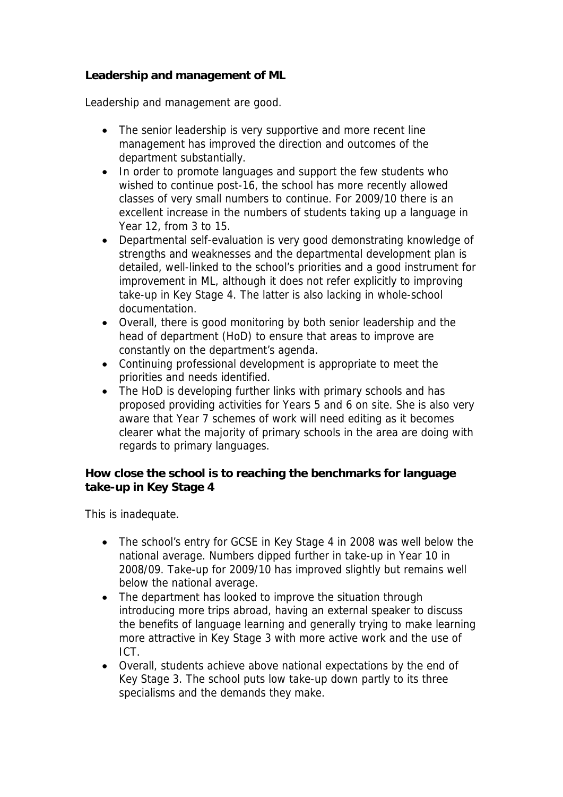**Leadership and management of ML**

Leadership and management are good.

- The senior leadership is very supportive and more recent line management has improved the direction and outcomes of the department substantially.
- In order to promote languages and support the few students who wished to continue post-16, the school has more recently allowed classes of very small numbers to continue. For 2009/10 there is an excellent increase in the numbers of students taking up a language in Year 12, from 3 to 15.
- Departmental self-evaluation is very good demonstrating knowledge of strengths and weaknesses and the departmental development plan is detailed, well-linked to the school's priorities and a good instrument for improvement in ML, although it does not refer explicitly to improving take-up in Key Stage 4. The latter is also lacking in whole-school documentation.
- Overall, there is good monitoring by both senior leadership and the head of department (HoD) to ensure that areas to improve are constantly on the department's agenda.
- Continuing professional development is appropriate to meet the priorities and needs identified.
- The HoD is developing further links with primary schools and has proposed providing activities for Years 5 and 6 on site. She is also very aware that Year 7 schemes of work will need editing as it becomes clearer what the majority of primary schools in the area are doing with regards to primary languages.

**How close the school is to reaching the benchmarks for language take-up in Key Stage 4**

This is inadequate.

- The school's entry for GCSE in Key Stage 4 in 2008 was well below the national average. Numbers dipped further in take-up in Year 10 in 2008/09. Take-up for 2009/10 has improved slightly but remains well below the national average.
- The department has looked to improve the situation through introducing more trips abroad, having an external speaker to discuss the benefits of language learning and generally trying to make learning more attractive in Key Stage 3 with more active work and the use of ICT.
- Overall, students achieve above national expectations by the end of Key Stage 3. The school puts low take-up down partly to its three specialisms and the demands they make.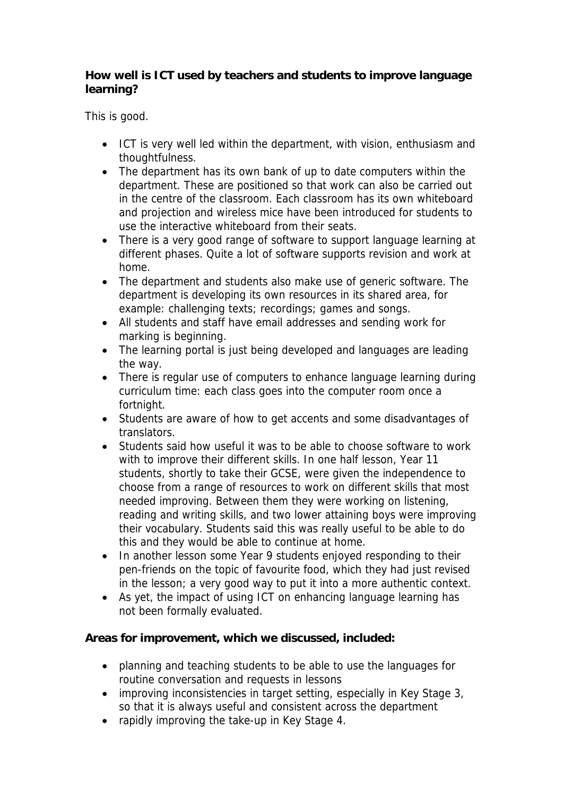**How well is ICT used by teachers and students to improve language learning?** 

This is good.

- ICT is very well led within the department, with vision, enthusiasm and thoughtfulness.
- The department has its own bank of up to date computers within the department. These are positioned so that work can also be carried out in the centre of the classroom. Each classroom has its own whiteboard and projection and wireless mice have been introduced for students to use the interactive whiteboard from their seats.
- There is a very good range of software to support language learning at different phases. Quite a lot of software supports revision and work at home.
- The department and students also make use of generic software. The department is developing its own resources in its shared area, for example: challenging texts; recordings; games and songs.
- All students and staff have email addresses and sending work for marking is beginning.
- The learning portal is just being developed and languages are leading the way.
- There is regular use of computers to enhance language learning during curriculum time: each class goes into the computer room once a fortnight.
- Students are aware of how to get accents and some disadvantages of translators.
- Students said how useful it was to be able to choose software to work with to improve their different skills. In one half lesson, Year 11 students, shortly to take their GCSE, were given the independence to choose from a range of resources to work on different skills that most needed improving. Between them they were working on listening, reading and writing skills, and two lower attaining boys were improving their vocabulary. Students said this was really useful to be able to do this and they would be able to continue at home.
- In another lesson some Year 9 students enjoyed responding to their pen-friends on the topic of favourite food, which they had just revised in the lesson; a very good way to put it into a more authentic context.
- As yet, the impact of using ICT on enhancing language learning has not been formally evaluated.

**Areas for improvement, which we discussed, included:**

- planning and teaching students to be able to use the languages for routine conversation and requests in lessons
- improving inconsistencies in target setting, especially in Key Stage 3, so that it is always useful and consistent across the department
- rapidly improving the take-up in Key Stage 4.